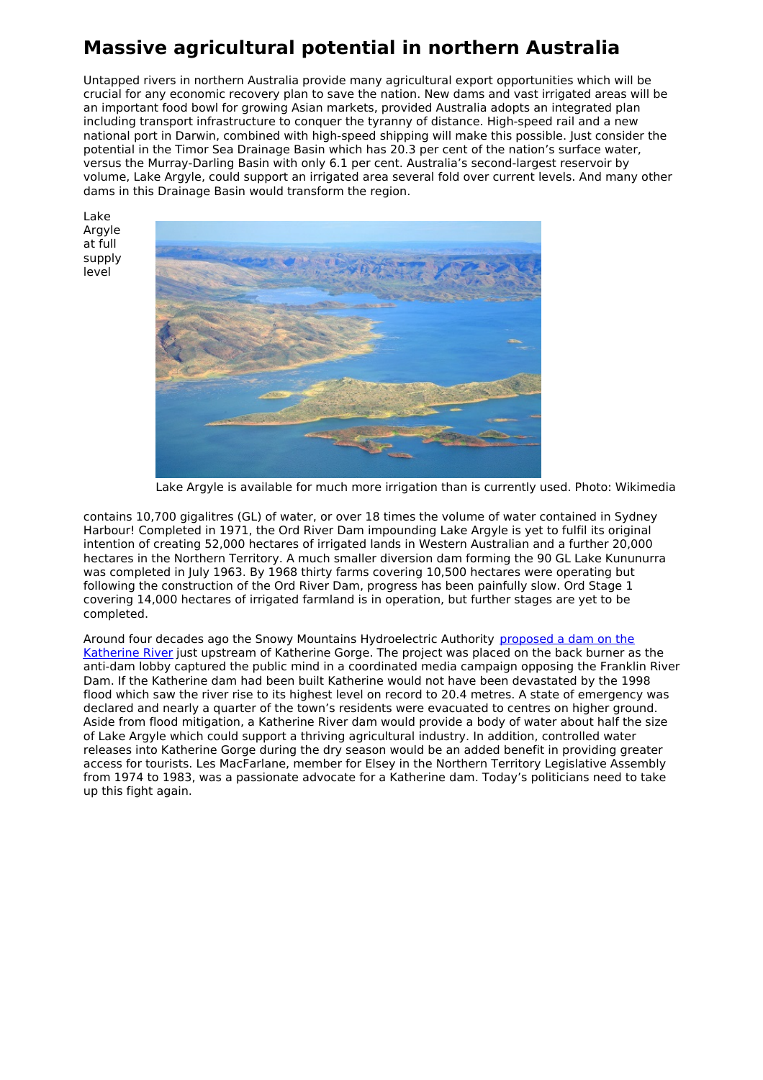## **Massive agricultural potential in northern Australia**

Untapped rivers in northern Australia provide many agricultural export opportunities which will be crucial for any economic recovery plan to save the nation. New dams and vast irrigated areas will be an important food bowl for growing Asian markets, provided Australia adopts an integrated plan including transport infrastructure to conquer the tyranny of distance. High-speed rail and a new national port in Darwin, combined with high-speed shipping will make this possible. Just consider the potential in the Timor Sea Drainage Basin which has 20.3 per cent of the nation's surface water, versus the Murray-Darling Basin with only 6.1 per cent. Australia's second-largest reservoir by volume, Lake Argyle, could support an irrigated area several fold over current levels. And many other dams in this Drainage Basin would transform the region.

Lake Argyle at full supply level



Lake Argyle is available for much more irrigation than is currently used. Photo: Wikimedia

contains 10,700 gigalitres (GL) of water, or over 18 times the volume of water contained in Sydney Harbour! Completed in 1971, the Ord River Dam impounding Lake Argyle is yet to fulfil its original intention of creating 52,000 hectares of irrigated lands in Western Australian and a further 20,000 hectares in the Northern Territory. A much smaller diversion dam forming the 90 GL Lake Kununurra was completed in July 1963. By 1968 thirty farms covering 10,500 hectares were operating but following the construction of the Ord River Dam, progress has been painfully slow. Ord Stage 1 covering 14,000 hectares of irrigated farmland is in operation, but further stages are yet to be completed.

Around four decades ago the Snowy Mountains [Hydroelectric](https://www.katherinetimes.com.au/story/5685950/plans-for-a-dam-on-the-katherine-river/) Authority proposed a dam on the Katherine River just upstream of Katherine Gorge. The project was placed on the back burner as the anti-dam lobby captured the public mind in a coordinated media campaign opposing the Franklin River Dam. If the Katherine dam had been built Katherine would not have been devastated by the 1998 flood which saw the river rise to its highest level on record to 20.4 metres. A state of emergency was declared and nearly a quarter of the town's residents were evacuated to centres on higher ground. Aside from flood mitigation, a Katherine River dam would provide a body of water about half the size of Lake Argyle which could support a thriving agricultural industry. In addition, controlled water releases into Katherine Gorge during the dry season would be an added benefit in providing greater access for tourists. Les MacFarlane, member for Elsey in the Northern Territory Legislative Assembly from 1974 to 1983, was a passionate advocate for a Katherine dam. Today's politicians need to take up this fight again.